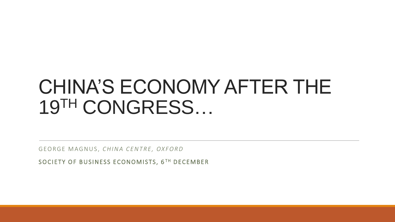### CHINA'S ECONOMY AFTER THE 19TH CONGRESS…

GEORGE MAGNUS, CHINA CENTRE, OXFORD

SOCIETY OF BUSINESS ECONOMISTS, 6TH DECEMBER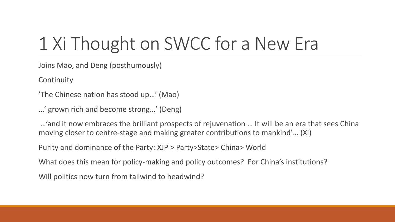# 1 Xi Thought on SWCC for a New Era

Joins Mao, and Deng (posthumously)

**Continuity** 

'The Chinese nation has stood up…' (Mao)

...' grown rich and become strong…' (Deng)

…'and it now embraces the brilliant prospects of rejuvenation … It will be an era that sees China moving closer to centre-stage and making greater contributions to mankind'… (Xi)

Purity and dominance of the Party: XJP > Party>State> China> World

What does this mean for policy-making and policy outcomes? For China's institutions?

Will politics now turn from tailwind to headwind?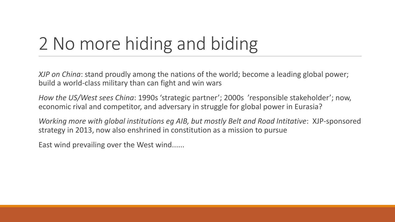## 2 No more hiding and biding

*XJP on China*: stand proudly among the nations of the world; become a leading global power; build a world-class military than can fight and win wars

*How the US/West sees China*: 1990s 'strategic partner'; 2000s 'responsible stakeholder'; now, economic rival and competitor, and adversary in struggle for global power in Eurasia?

*Working more with global institutions eg AIB, but mostly Belt and Road Intitative*: XJP-sponsored strategy in 2013, now also enshrined in constitution as a mission to pursue

East wind prevailing over the West wind......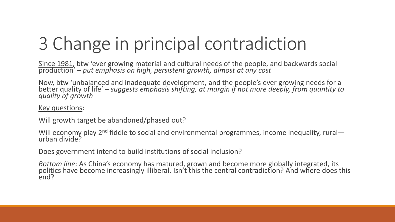# 3 Change in principal contradiction

Since 1981, btw 'ever growing material and cultural needs of the people, and backwards social production' – *put emphasis on high, persistent growth, almost at any cost*

Now, btw 'unbalanced and inadequate development, and the people's ever growing needs for a better quality of life' – *suggests emphasis shifting, at margin if not more deeply, from quantity to quality of growth*

#### Key questions:

Will growth target be abandoned/phased out?

Will economy play 2<sup>nd</sup> fiddle to social and environmental programmes, income inequality, rural urban divide?

Does government intend to build institutions of social inclusion?

*Bottom line*: As China's economy has matured, grown and become more globally integrated, its politics have become increasingly illiberal. Isn't this the central contradiction? And where does this end?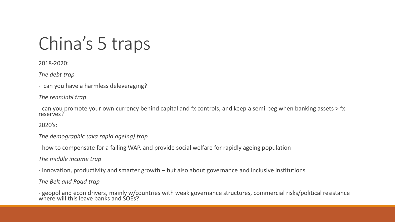#### China's 5 traps

2018-2020:

*The debt trap*

- can you have a harmless deleveraging?

*The renminbi trap*

- can you promote your own currency behind capital and fx controls, and keep a semi-peg when banking assets > fx reserves?

2020's:

*The demographic (aka rapid ageing) trap*

- how to compensate for a falling WAP, and provide social welfare for rapidly ageing population

*The middle income trap*

- innovation, productivity and smarter growth – but also about governance and inclusive institutions

*The Belt and Road trap*

- geopol and econ drivers, mainly w/countries with weak governance structures, commercial risks/political resistance – where will this leave banks and SOEs?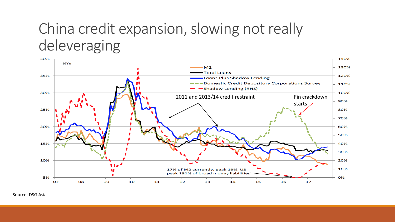#### China credit expansion, slowing not really deleveraging



Source: DSG Asia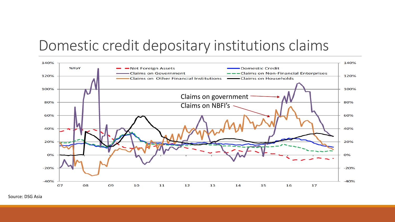#### Domestic credit depositary institutions claims



Source: DSG Asia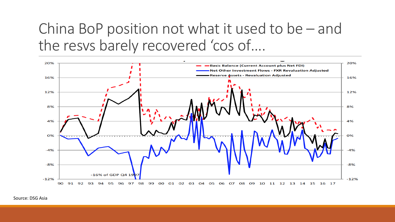#### China BoP position not what it used to be – and the resvs barely recovered 'cos of….



Source: DSG Asia